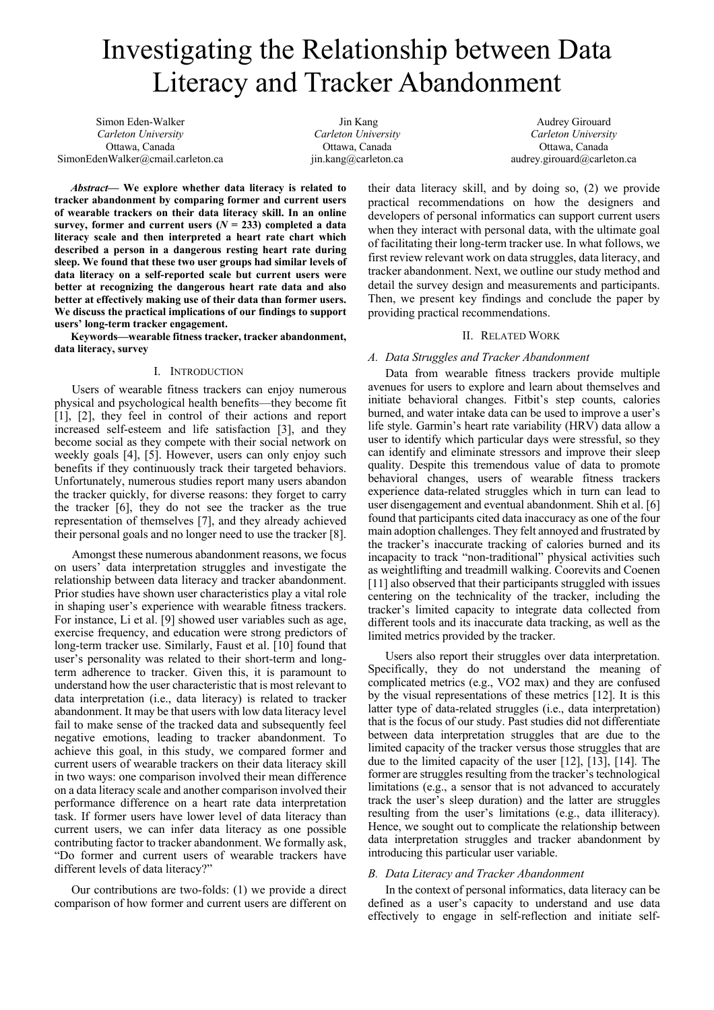# Investigating the Relationship between Data Literacy and Tracker Abandonment

Simon Eden-Walker *Carleton University* Ottawa, Canada SimonEdenWalker@cmail.carleton.ca

Jin Kang *Carleton University* Ottawa, Canada jin.kang@carleton.ca

Audrey Girouard *Carleton University* Ottawa, Canada audrey.girouard@carleton.ca

*Abstract***— We explore whether data literacy is related to tracker abandonment by comparing former and current users of wearable trackers on their data literacy skill. In an online survey, former and current users (** $N = 233$ **) completed a data literacy scale and then interpreted a heart rate chart which described a person in a dangerous resting heart rate during sleep. We found that these two user groups had similar levels of data literacy on a self-reported scale but current users were better at recognizing the dangerous heart rate data and also better at effectively making use of their data than former users. We discuss the practical implications of our findings to support users' long-term tracker engagement.**

**Keywords—wearable fitness tracker, tracker abandonment, data literacy, survey**

# I. INTRODUCTION

Users of wearable fitness trackers can enjoy numerous physical and psychological health benefits—they become fit [1], [2], they feel in control of their actions and report increased self-esteem and life satisfaction [3], and they become social as they compete with their social network on weekly goals [4], [5]. However, users can only enjoy such benefits if they continuously track their targeted behaviors. Unfortunately, numerous studies report many users abandon the tracker quickly, for diverse reasons: they forget to carry the tracker [6], they do not see the tracker as the true representation of themselves [7], and they already achieved their personal goals and no longer need to use the tracker [8].

Amongst these numerous abandonment reasons, we focus on users' data interpretation struggles and investigate the relationship between data literacy and tracker abandonment. Prior studies have shown user characteristics play a vital role in shaping user's experience with wearable fitness trackers. For instance, Li et al. [9] showed user variables such as age, exercise frequency, and education were strong predictors of long-term tracker use. Similarly, Faust et al. [10] found that user's personality was related to their short-term and longterm adherence to tracker. Given this, it is paramount to understand how the user characteristic that is most relevant to data interpretation (i.e., data literacy) is related to tracker abandonment. It may be that users with low data literacy level fail to make sense of the tracked data and subsequently feel negative emotions, leading to tracker abandonment. To achieve this goal, in this study, we compared former and current users of wearable trackers on their data literacy skill in two ways: one comparison involved their mean difference on a data literacy scale and another comparison involved their performance difference on a heart rate data interpretation task. If former users have lower level of data literacy than current users, we can infer data literacy as one possible contributing factor to tracker abandonment. We formally ask, "Do former and current users of wearable trackers have different levels of data literacy?"

Our contributions are two-folds: (1) we provide a direct comparison of how former and current users are different on their data literacy skill, and by doing so, (2) we provide practical recommendations on how the designers and developers of personal informatics can support current users when they interact with personal data, with the ultimate goal of facilitating their long-term tracker use. In what follows, we first review relevant work on data struggles, data literacy, and tracker abandonment. Next, we outline our study method and detail the survey design and measurements and participants. Then, we present key findings and conclude the paper by providing practical recommendations.

# II. RELATED WORK

# *A. Data Struggles and Tracker Abandonment*

Data from wearable fitness trackers provide multiple avenues for users to explore and learn about themselves and initiate behavioral changes. Fitbit's step counts, calories burned, and water intake data can be used to improve a user's life style. Garmin's heart rate variability (HRV) data allow a user to identify which particular days were stressful, so they can identify and eliminate stressors and improve their sleep quality. Despite this tremendous value of data to promote behavioral changes, users of wearable fitness trackers experience data-related struggles which in turn can lead to user disengagement and eventual abandonment. Shih et al. [6] found that participants cited data inaccuracy as one of the four main adoption challenges. They felt annoyed and frustrated by the tracker's inaccurate tracking of calories burned and its incapacity to track "non-traditional" physical activities such as weightlifting and treadmill walking. Coorevits and Coenen [11] also observed that their participants struggled with issues centering on the technicality of the tracker, including the tracker's limited capacity to integrate data collected from different tools and its inaccurate data tracking, as well as the limited metrics provided by the tracker.

Users also report their struggles over data interpretation. Specifically, they do not understand the meaning of complicated metrics (e.g., VO2 max) and they are confused by the visual representations of these metrics [12]. It is this latter type of data-related struggles (i.e., data interpretation) that is the focus of our study. Past studies did not differentiate between data interpretation struggles that are due to the limited capacity of the tracker versus those struggles that are due to the limited capacity of the user [12], [13], [14]. The former are struggles resulting from the tracker's technological limitations (e.g., a sensor that is not advanced to accurately track the user's sleep duration) and the latter are struggles resulting from the user's limitations (e.g., data illiteracy). Hence, we sought out to complicate the relationship between data interpretation struggles and tracker abandonment by introducing this particular user variable.

# *B. Data Literacy and Tracker Abandonment*

In the context of personal informatics, data literacy can be defined as a user's capacity to understand and use data effectively to engage in self-reflection and initiate self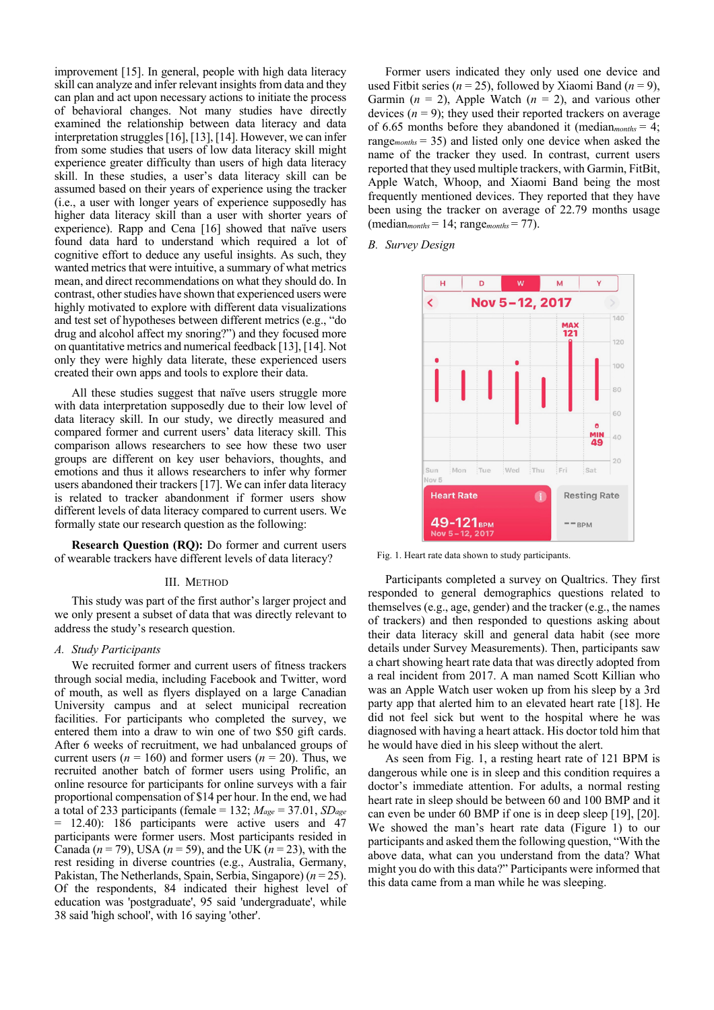improvement [15]. In general, people with high data literacy skill can analyze and infer relevant insights from data and they can plan and act upon necessary actions to initiate the process of behavioral changes. Not many studies have directly examined the relationship between data literacy and data interpretation struggles[16], [13], [14]. However, we can infer from some studies that users of low data literacy skill might experience greater difficulty than users of high data literacy skill. In these studies, a user's data literacy skill can be assumed based on their years of experience using the tracker (i.e., a user with longer years of experience supposedly has higher data literacy skill than a user with shorter years of experience). Rapp and Cena [16] showed that naïve users found data hard to understand which required a lot of cognitive effort to deduce any useful insights. As such, they wanted metrics that were intuitive, a summary of what metrics mean, and direct recommendations on what they should do. In contrast, other studies have shown that experienced users were highly motivated to explore with different data visualizations and test set of hypotheses between different metrics (e.g., "do drug and alcohol affect my snoring?") and they focused more on quantitative metrics and numerical feedback [13], [14]. Not only they were highly data literate, these experienced users created their own apps and tools to explore their data.

All these studies suggest that naïve users struggle more with data interpretation supposedly due to their low level of data literacy skill. In our study, we directly measured and compared former and current users' data literacy skill. This comparison allows researchers to see how these two user groups are different on key user behaviors, thoughts, and emotions and thus it allows researchers to infer why former users abandoned their trackers [17]. We can infer data literacy is related to tracker abandonment if former users show different levels of data literacy compared to current users. We formally state our research question as the following:

**Research Question (RQ):** Do former and current users of wearable trackers have different levels of data literacy?

## III. METHOD

This study was part of the first author's larger project and we only present a subset of data that was directly relevant to address the study's research question.

# *A. Study Participants*

We recruited former and current users of fitness trackers through social media, including Facebook and Twitter, word of mouth, as well as flyers displayed on a large Canadian University campus and at select municipal recreation facilities. For participants who completed the survey, we entered them into a draw to win one of two \$50 gift cards. After 6 weeks of recruitment, we had unbalanced groups of current users ( $n = 160$ ) and former users ( $n = 20$ ). Thus, we recruited another batch of former users using Prolific, an online resource for participants for online surveys with a fair proportional compensation of \$14 per hour. In the end, we had a total of 233 participants (female = 132; *Mage* = 37.01, *SDage* = 12.40): 186 participants were active users and 47 participants were former users. Most participants resided in Canada (*n* = 79), USA (*n* = 59), and the UK (*n* = 23), with the rest residing in diverse countries (e.g., Australia, Germany, Pakistan, The Netherlands, Spain, Serbia, Singapore) (*n* = 25). Of the respondents, 84 indicated their highest level of education was 'postgraduate', 95 said 'undergraduate', while 38 said 'high school', with 16 saying 'other'.

Former users indicated they only used one device and used Fitbit series ( $n = 25$ ), followed by Xiaomi Band ( $n = 9$ ), Garmin  $(n = 2)$ , Apple Watch  $(n = 2)$ , and various other devices  $(n = 9)$ ; they used their reported trackers on average of 6.65 months before they abandoned it (median*months* = 4; range*months* = 35) and listed only one device when asked the name of the tracker they used. In contrast, current users reported that they used multiple trackers, with Garmin, FitBit, Apple Watch, Whoop, and Xiaomi Band being the most frequently mentioned devices. They reported that they have been using the tracker on average of 22.79 months usage  $(median<sub>months</sub> = 14; range<sub>months</sub> = 77).$ 

*B. Survey Design* 



Fig. 1. Heart rate data shown to study participants.

Participants completed a survey on Qualtrics. They first responded to general demographics questions related to themselves (e.g., age, gender) and the tracker (e.g., the names of trackers) and then responded to questions asking about their data literacy skill and general data habit (see more details under Survey Measurements). Then, participants saw a chart showing heart rate data that was directly adopted from a real incident from 2017. A man named Scott Killian who was an Apple Watch user woken up from his sleep by a 3rd party app that alerted him to an elevated heart rate [18]. He did not feel sick but went to the hospital where he was diagnosed with having a heart attack. His doctor told him that he would have died in his sleep without the alert.

As seen from Fig. 1, a resting heart rate of 121 BPM is dangerous while one is in sleep and this condition requires a doctor's immediate attention. For adults, a normal resting heart rate in sleep should be between 60 and 100 BMP and it can even be under 60 BMP if one is in deep sleep [19], [20]. We showed the man's heart rate data (Figure 1) to our participants and asked them the following question, "With the above data, what can you understand from the data? What might you do with this data?" Participants were informed that this data came from a man while he was sleeping.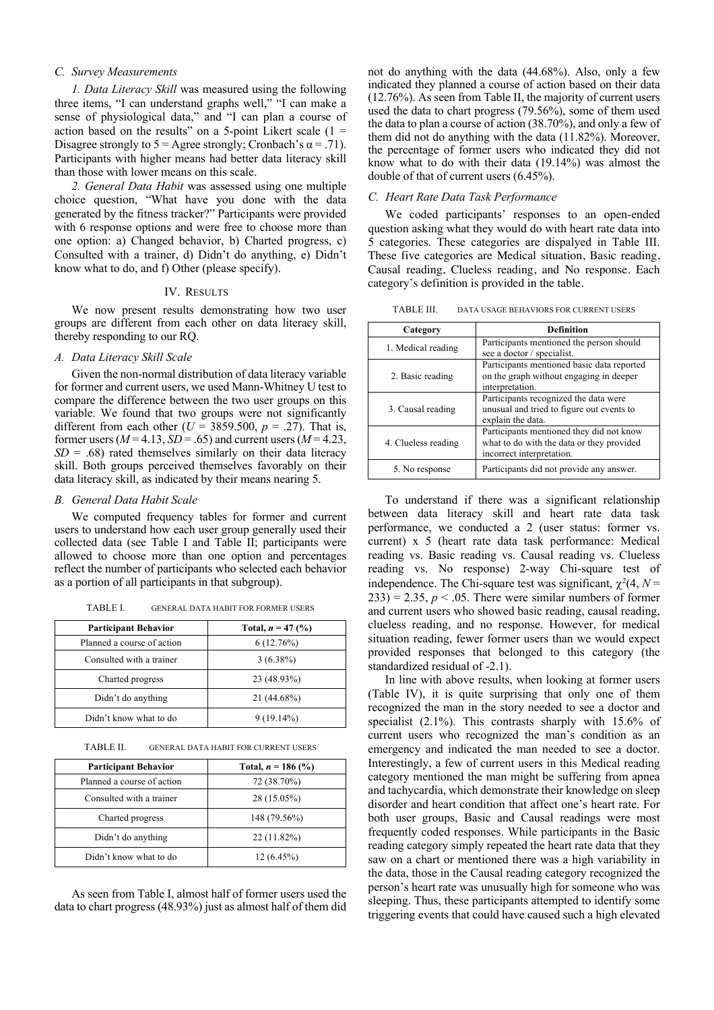# *C. Survey Measurements*

*1. Data Literacy Skill* was measured using the following three items, "I can understand graphs well," "I can make a sense of physiological data," and "I can plan a course of action based on the results" on a 5-point Likert scale  $(1 =$ Disagree strongly to  $5 = \text{Agree}$  strongly; Cronbach's  $\alpha = .71$ ). Participants with higher means had better data literacy skill than those with lower means on this scale.

*2. General Data Habit* was assessed using one multiple choice question, "What have you done with the data generated by the fitness tracker?" Participants were provided with 6 response options and were free to choose more than one option: a) Changed behavior, b) Charted progress, c) Consulted with a trainer, d) Didn't do anything, e) Didn't know what to do, and f) Other (please specify).

### IV. RESULTS

We now present results demonstrating how two user groups are different from each other on data literacy skill, thereby responding to our RQ.

# *A. Data Literacy Skill Scale*

Given the non-normal distribution of data literacy variable for former and current users, we used Mann-Whitney U test to compare the difference between the two user groups on this variable. We found that two groups were not significantly different from each other  $(U = 3859.500, p = .27)$ . That is, former users  $(M=4.13, SD=.65)$  and current users  $(M=4.23,$  $SD = .68$ ) rated themselves similarly on their data literacy skill. Both groups perceived themselves favorably on their data literacy skill, as indicated by their means nearing 5.

## *B. General Data Habit Scale*

We computed frequency tables for former and current users to understand how each user group generally used their collected data (see Table I and Table II; participants were allowed to choose more than one option and percentages reflect the number of participants who selected each behavior as a portion of all participants in that subgroup).

| TABLE I. |  |  | <b>GENERAL DATA HABIT FOR FORMER USERS</b> |
|----------|--|--|--------------------------------------------|
|----------|--|--|--------------------------------------------|

| <b>Participant Behavior</b> | Total, $n = 47$ (%) |
|-----------------------------|---------------------|
| Planned a course of action  | 6(12.76%)           |
| Consulted with a trainer    | $3(6.38\%)$         |
| Charted progress            | 23 (48.93%)         |
| Didn't do anything          | 21 (44.68%)         |
| Didn't know what to do      | $9(19.14\%)$        |

TABLE II. GENERAL DATA HABIT FOR CURRENT USERS

| <b>Participant Behavior</b> | Total, $n = 186$ (%) |
|-----------------------------|----------------------|
| Planned a course of action  | 72 (38.70%)          |
| Consulted with a trainer    | 28 (15.05%)          |
| Charted progress            | 148 (79.56%)         |
| Didn't do anything          | 22 (11.82%)          |
| Didn't know what to do      | $12(6.45\%)$         |

As seen from Table I, almost half of former users used the data to chart progress (48.93%) just as almost half of them did not do anything with the data (44.68%). Also, only a few indicated they planned a course of action based on their data (12.76%). As seen from Table II, the majority of current users used the data to chart progress (79.56%), some of them used the data to plan a course of action (38.70%), and only a few of them did not do anything with the data (11.82%). Moreover, the percentage of former users who indicated they did not know what to do with their data (19.14%) was almost the double of that of current users (6.45%).

#### *C. Heart Rate Data Task Performance*

We coded participants' responses to an open-ended question asking what they would do with heart rate data into 5 categories. These categories are dispalyed in Table III. These five categories are Medical situation, Basic reading, Causal reading, Clueless reading, and No response. Each category's definition is provided in the table.

TABLE III. DATA USAGE BEHAVIORS FOR CURRENT USERS

| Category            | <b>Definition</b>                                                                                                  |
|---------------------|--------------------------------------------------------------------------------------------------------------------|
| 1. Medical reading  | Participants mentioned the person should<br>see a doctor / specialist.                                             |
| 2. Basic reading    | Participants mentioned basic data reported<br>on the graph without engaging in deeper<br>interpretation.           |
| 3. Causal reading   | Participants recognized the data were<br>unusual and tried to figure out events to<br>explain the data.            |
| 4. Clueless reading | Participants mentioned they did not know<br>what to do with the data or they provided<br>incorrect interpretation. |
| 5. No response      | Participants did not provide any answer.                                                                           |

To understand if there was a significant relationship between data literacy skill and heart rate data task performance, we conducted a 2 (user status: former vs. current) x 5 (heart rate data task performance: Medical reading vs. Basic reading vs. Causal reading vs. Clueless reading vs. No response) 2-way Chi-square test of independence. The Chi-square test was significant,  $\chi^2(4, N =$  $(233) = 2.35, p < .05$ . There were similar numbers of former and current users who showed basic reading, causal reading, clueless reading, and no response. However, for medical situation reading, fewer former users than we would expect provided responses that belonged to this category (the standardized residual of -2.1).

In line with above results, when looking at former users (Table IV), it is quite surprising that only one of them recognized the man in the story needed to see a doctor and specialist (2.1%). This contrasts sharply with 15.6% of current users who recognized the man's condition as an emergency and indicated the man needed to see a doctor. Interestingly, a few of current users in this Medical reading category mentioned the man might be suffering from apnea and tachycardia, which demonstrate their knowledge on sleep disorder and heart condition that affect one's heart rate. For both user groups, Basic and Causal readings were most frequently coded responses. While participants in the Basic reading category simply repeated the heart rate data that they saw on a chart or mentioned there was a high variability in the data, those in the Causal reading category recognized the person's heart rate was unusually high for someone who was sleeping. Thus, these participants attempted to identify some triggering events that could have caused such a high elevated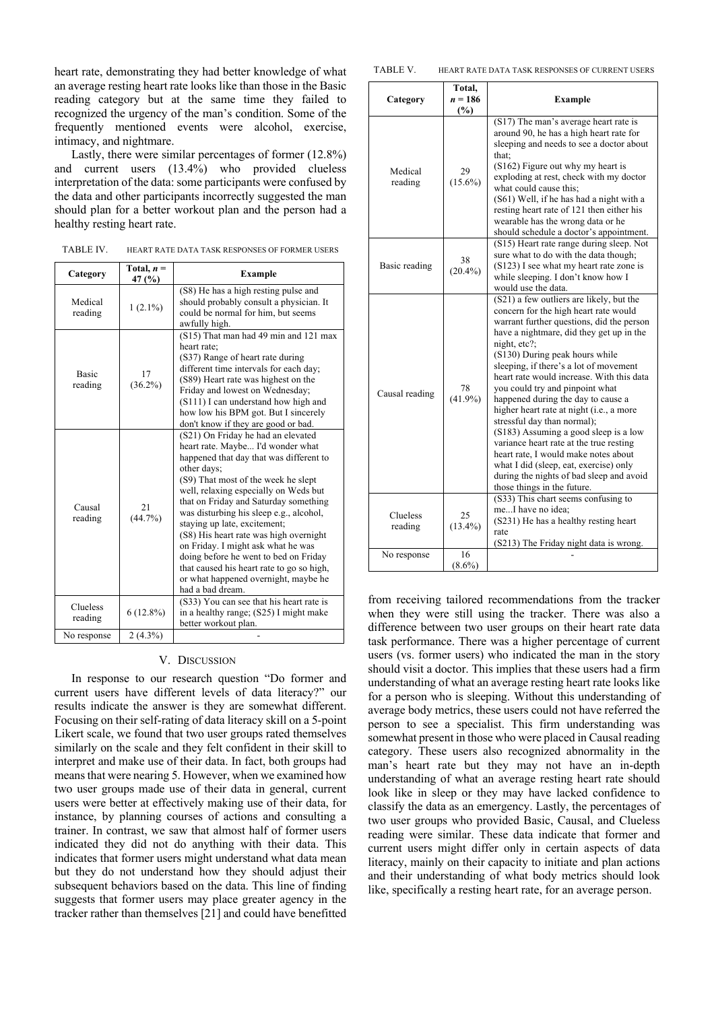heart rate, demonstrating they had better knowledge of what an average resting heart rate looks like than those in the Basic reading category but at the same time they failed to recognized the urgency of the man's condition. Some of the frequently mentioned events were alcohol, exercise, intimacy, and nightmare.

Lastly, there were similar percentages of former (12.8%) and current users (13.4%) who provided clueless interpretation of the data: some participants were confused by the data and other participants incorrectly suggested the man should plan for a better workout plan and the person had a healthy resting heart rate.

TABLE IV. HEART RATE DATA TASK RESPONSES OF FORMER USERS

| Category                | Total, $n =$<br>47 (%) | <b>Example</b>                                                                                                                                                                                                                                                                                                                                                                                                                                                                                                                                                          |
|-------------------------|------------------------|-------------------------------------------------------------------------------------------------------------------------------------------------------------------------------------------------------------------------------------------------------------------------------------------------------------------------------------------------------------------------------------------------------------------------------------------------------------------------------------------------------------------------------------------------------------------------|
| Medical<br>reading      | $1(2.1\%)$             | (S8) He has a high resting pulse and<br>should probably consult a physician. It<br>could be normal for him, but seems<br>awfully high.                                                                                                                                                                                                                                                                                                                                                                                                                                  |
| <b>Basic</b><br>reading | 17<br>$(36.2\%)$       | (S15) That man had 49 min and 121 max<br>heart rate;<br>(S37) Range of heart rate during<br>different time intervals for each day;<br>(S89) Heart rate was highest on the<br>Friday and lowest on Wednesday;<br>(S111) I can understand how high and<br>how low his BPM got. But I sincerely<br>don't know if they are good or bad.                                                                                                                                                                                                                                     |
| Causal<br>reading       | 21<br>$(44.7\%)$       | (S21) On Friday he had an elevated<br>heart rate. Maybe I'd wonder what<br>happened that day that was different to<br>other days;<br>(S9) That most of the week he slept<br>well, relaxing especially on Weds but<br>that on Friday and Saturday something<br>was disturbing his sleep e.g., alcohol,<br>staying up late, excitement;<br>(S8) His heart rate was high overnight<br>on Friday. I might ask what he was<br>doing before he went to bed on Friday<br>that caused his heart rate to go so high,<br>or what happened overnight, maybe he<br>had a bad dream. |
| Clueless<br>reading     | $6(12.8\%)$            | (S33) You can see that his heart rate is<br>in a healthy range; (S25) I might make<br>better workout plan.                                                                                                                                                                                                                                                                                                                                                                                                                                                              |
| No response             | $2(4.3\%)$             |                                                                                                                                                                                                                                                                                                                                                                                                                                                                                                                                                                         |

## V. DISCUSSION

In response to our research question "Do former and current users have different levels of data literacy?" our results indicate the answer is they are somewhat different. Focusing on their self-rating of data literacy skill on a 5-point Likert scale, we found that two user groups rated themselves similarly on the scale and they felt confident in their skill to interpret and make use of their data. In fact, both groups had means that were nearing 5. However, when we examined how two user groups made use of their data in general, current users were better at effectively making use of their data, for instance, by planning courses of actions and consulting a trainer. In contrast, we saw that almost half of former users indicated they did not do anything with their data. This indicates that former users might understand what data mean but they do not understand how they should adjust their subsequent behaviors based on the data. This line of finding suggests that former users may place greater agency in the tracker rather than themselves [21] and could have benefitted

| TABLE V.<br>HEART RATE DATA TASK RESPONSES OF CURRENT USERS |
|-------------------------------------------------------------|
|-------------------------------------------------------------|

| Category            | Total,<br>n = 186<br>(%) | <b>Example</b>                                                                                                                                                                                                                                                                                                                                                                                                                                                                                                                                                                                                                                                                                                           |
|---------------------|--------------------------|--------------------------------------------------------------------------------------------------------------------------------------------------------------------------------------------------------------------------------------------------------------------------------------------------------------------------------------------------------------------------------------------------------------------------------------------------------------------------------------------------------------------------------------------------------------------------------------------------------------------------------------------------------------------------------------------------------------------------|
| Medical<br>reading  | 29<br>$(15.6\%)$         | (S17) The man's average heart rate is<br>around 90, he has a high heart rate for<br>sleeping and needs to see a doctor about<br>that:<br>(S162) Figure out why my heart is<br>exploding at rest, check with my doctor<br>what could cause this;<br>(S61) Well, if he has had a night with a<br>resting heart rate of 121 then either his<br>wearable has the wrong data or he<br>should schedule a doctor's appointment.                                                                                                                                                                                                                                                                                                 |
| Basic reading       | 38<br>$(20.4\%)$         | (S15) Heart rate range during sleep. Not<br>sure what to do with the data though;<br>(S123) I see what my heart rate zone is<br>while sleeping. I don't know how I<br>would use the data.                                                                                                                                                                                                                                                                                                                                                                                                                                                                                                                                |
| Causal reading      | 78<br>$(41.9\%)$         | (S21) a few outliers are likely, but the<br>concern for the high heart rate would<br>warrant further questions, did the person<br>have a nightmare, did they get up in the<br>night, etc?;<br>(S130) During peak hours while<br>sleeping, if there's a lot of movement<br>heart rate would increase. With this data<br>you could try and pinpoint what<br>happened during the day to cause a<br>higher heart rate at night (i.e., a more<br>stressful day than normal);<br>(S183) Assuming a good sleep is a low<br>variance heart rate at the true resting<br>heart rate, I would make notes about<br>what I did (sleep, eat, exercise) only<br>during the nights of bad sleep and avoid<br>those things in the future. |
| Clueless<br>reading | 25<br>$(13.4\%)$         | (S33) This chart seems confusing to<br>meI have no idea:<br>(S231) He has a healthy resting heart<br>rate<br>(S213) The Friday night data is wrong.                                                                                                                                                                                                                                                                                                                                                                                                                                                                                                                                                                      |
| No response         | 16<br>$(8.6\%)$          |                                                                                                                                                                                                                                                                                                                                                                                                                                                                                                                                                                                                                                                                                                                          |

from receiving tailored recommendations from the tracker when they were still using the tracker. There was also a difference between two user groups on their heart rate data task performance. There was a higher percentage of current users (vs. former users) who indicated the man in the story should visit a doctor. This implies that these users had a firm understanding of what an average resting heart rate looks like for a person who is sleeping. Without this understanding of average body metrics, these users could not have referred the person to see a specialist. This firm understanding was somewhat present in those who were placed in Causal reading category. These users also recognized abnormality in the man's heart rate but they may not have an in-depth understanding of what an average resting heart rate should look like in sleep or they may have lacked confidence to classify the data as an emergency. Lastly, the percentages of two user groups who provided Basic, Causal, and Clueless reading were similar. These data indicate that former and current users might differ only in certain aspects of data literacy, mainly on their capacity to initiate and plan actions and their understanding of what body metrics should look like, specifically a resting heart rate, for an average person.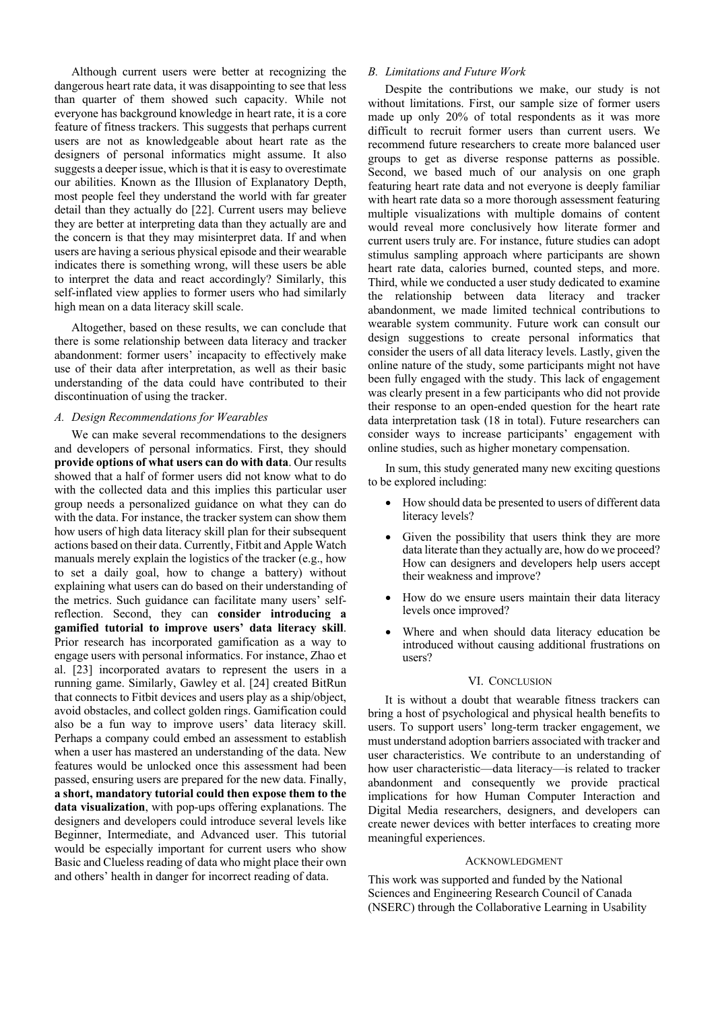Although current users were better at recognizing the dangerous heart rate data, it was disappointing to see that less than quarter of them showed such capacity. While not everyone has background knowledge in heart rate, it is a core feature of fitness trackers. This suggests that perhaps current users are not as knowledgeable about heart rate as the designers of personal informatics might assume. It also suggests a deeper issue, which is that it is easy to overestimate our abilities. Known as the Illusion of Explanatory Depth, most people feel they understand the world with far greater detail than they actually do [22]. Current users may believe they are better at interpreting data than they actually are and the concern is that they may misinterpret data. If and when users are having a serious physical episode and their wearable indicates there is something wrong, will these users be able to interpret the data and react accordingly? Similarly, this self-inflated view applies to former users who had similarly high mean on a data literacy skill scale.

Altogether, based on these results, we can conclude that there is some relationship between data literacy and tracker abandonment: former users' incapacity to effectively make use of their data after interpretation, as well as their basic understanding of the data could have contributed to their discontinuation of using the tracker.

# *A. Design Recommendations for Wearables*

We can make several recommendations to the designers and developers of personal informatics. First, they should **provide options of what users can do with data**. Our results showed that a half of former users did not know what to do with the collected data and this implies this particular user group needs a personalized guidance on what they can do with the data. For instance, the tracker system can show them how users of high data literacy skill plan for their subsequent actions based on their data. Currently, Fitbit and Apple Watch manuals merely explain the logistics of the tracker (e.g., how to set a daily goal, how to change a battery) without explaining what users can do based on their understanding of the metrics. Such guidance can facilitate many users' selfreflection. Second, they can **consider introducing a gamified tutorial to improve users' data literacy skill**. Prior research has incorporated gamification as a way to engage users with personal informatics. For instance, Zhao et al. [23] incorporated avatars to represent the users in a running game. Similarly, Gawley et al. [24] created BitRun that connects to Fitbit devices and users play as a ship/object, avoid obstacles, and collect golden rings. Gamification could also be a fun way to improve users' data literacy skill. Perhaps a company could embed an assessment to establish when a user has mastered an understanding of the data. New features would be unlocked once this assessment had been passed, ensuring users are prepared for the new data. Finally, **a short, mandatory tutorial could then expose them to the data visualization**, with pop-ups offering explanations. The designers and developers could introduce several levels like Beginner, Intermediate, and Advanced user. This tutorial would be especially important for current users who show Basic and Clueless reading of data who might place their own and others' health in danger for incorrect reading of data.

## *B. Limitations and Future Work*

Despite the contributions we make, our study is not without limitations. First, our sample size of former users made up only 20% of total respondents as it was more difficult to recruit former users than current users. We recommend future researchers to create more balanced user groups to get as diverse response patterns as possible. Second, we based much of our analysis on one graph featuring heart rate data and not everyone is deeply familiar with heart rate data so a more thorough assessment featuring multiple visualizations with multiple domains of content would reveal more conclusively how literate former and current users truly are. For instance, future studies can adopt stimulus sampling approach where participants are shown heart rate data, calories burned, counted steps, and more. Third, while we conducted a user study dedicated to examine the relationship between data literacy and tracker abandonment, we made limited technical contributions to wearable system community. Future work can consult our design suggestions to create personal informatics that consider the users of all data literacy levels. Lastly, given the online nature of the study, some participants might not have been fully engaged with the study. This lack of engagement was clearly present in a few participants who did not provide their response to an open-ended question for the heart rate data interpretation task (18 in total). Future researchers can consider ways to increase participants' engagement with online studies, such as higher monetary compensation.

In sum, this study generated many new exciting questions to be explored including:

- How should data be presented to users of different data literacy levels?
- Given the possibility that users think they are more data literate than they actually are, how do we proceed? How can designers and developers help users accept their weakness and improve?
- How do we ensure users maintain their data literacy levels once improved?
- Where and when should data literacy education be introduced without causing additional frustrations on users?

#### VI. CONCLUSION

It is without a doubt that wearable fitness trackers can bring a host of psychological and physical health benefits to users. To support users' long-term tracker engagement, we must understand adoption barriers associated with tracker and user characteristics. We contribute to an understanding of how user characteristic—data literacy—is related to tracker abandonment and consequently we provide practical implications for how Human Computer Interaction and Digital Media researchers, designers, and developers can create newer devices with better interfaces to creating more meaningful experiences.

### ACKNOWLEDGMENT

This work was supported and funded by the National Sciences and Engineering Research Council of Canada (NSERC) through the Collaborative Learning in Usability